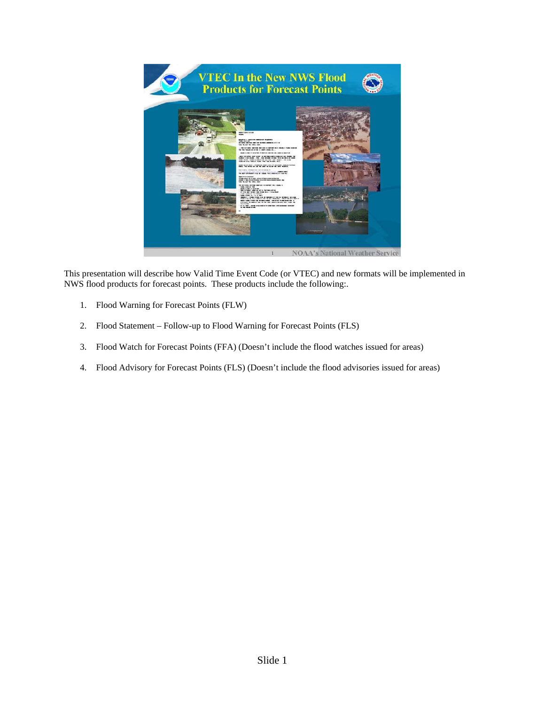

This presentation will describe how Valid Time Event Code (or VTEC) and new formats will be implemented in NWS flood products for forecast points. These products include the following:.

- 1. Flood Warning for Forecast Points (FLW)
- 2. Flood Statement Follow-up to Flood Warning for Forecast Points (FLS)
- 3. Flood Watch for Forecast Points (FFA) (Doesn't include the flood watches issued for areas)
- 4. Flood Advisory for Forecast Points (FLS) (Doesn't include the flood advisories issued for areas)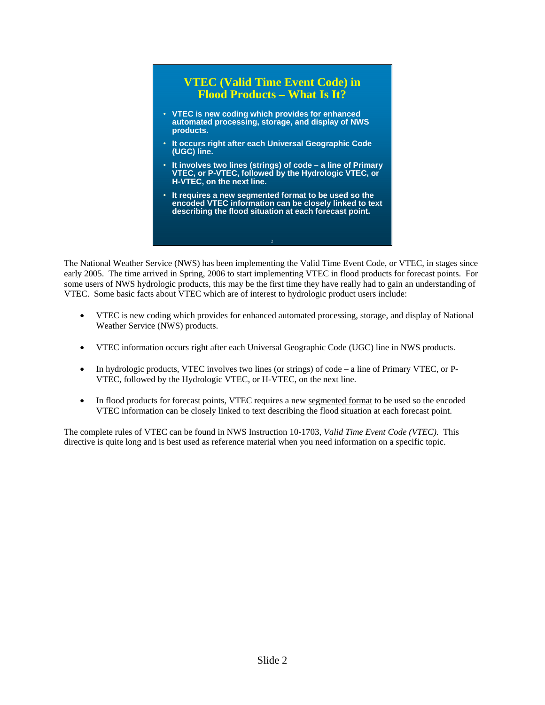### **VTEC (Valid Time Event Code) in Flood Products – What Is It?**

- **VTEC is new coding which provides for enhanced automated processing, storage, and display of NWS products.**
- **It occurs right after each Universal Geographic Code (UGC) line.**
- **It involves two lines (strings) of code a line of Primary VTEC, or P-VTEC, followed by the Hydrologic VTEC, or H-VTEC, on the next line.**
- **It requires a new segmented format to be used so the encoded VTEC information can be closely linked to text describing the flood situation at each forecast point.**

The National Weather Service (NWS) has been implementing the Valid Time Event Code, or VTEC, in stages since early 2005. The time arrived in Spring, 2006 to start implementing VTEC in flood products for forecast points. For some users of NWS hydrologic products, this may be the first time they have really had to gain an understanding of VTEC. Some basic facts about VTEC which are of interest to hydrologic product users include:

- VTEC is new coding which provides for enhanced automated processing, storage, and display of National Weather Service (NWS) products.
- VTEC information occurs right after each Universal Geographic Code (UGC) line in NWS products.
- In hydrologic products, VTEC involves two lines (or strings) of code a line of Primary VTEC, or P-VTEC, followed by the Hydrologic VTEC, or H-VTEC, on the next line.
- In flood products for forecast points, VTEC requires a new segmented format to be used so the encoded VTEC information can be closely linked to text describing the flood situation at each forecast point.

The complete rules of VTEC can be found in NWS Instruction 10-1703, *Valid Time Event Code (VTEC)*. This directive is quite long and is best used as reference material when you need information on a specific topic.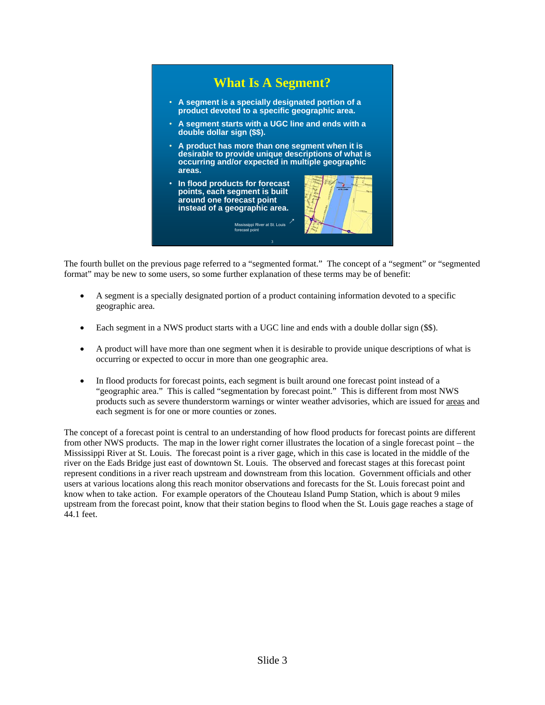

The fourth bullet on the previous page referred to a "segmented format." The concept of a "segment" or "segmented format" may be new to some users, so some further explanation of these terms may be of benefit:

- A segment is a specially designated portion of a product containing information devoted to a specific geographic area.
- Each segment in a NWS product starts with a UGC line and ends with a double dollar sign (\$\$).
- A product will have more than one segment when it is desirable to provide unique descriptions of what is occurring or expected to occur in more than one geographic area.
- In flood products for forecast points, each segment is built around one forecast point instead of a "geographic area." This is called "segmentation by forecast point." This is different from most NWS products such as severe thunderstorm warnings or winter weather advisories, which are issued for areas and each segment is for one or more counties or zones.

The concept of a forecast point is central to an understanding of how flood products for forecast points are different from other NWS products. The map in the lower right corner illustrates the location of a single forecast point – the Mississippi River at St. Louis. The forecast point is a river gage, which in this case is located in the middle of the river on the Eads Bridge just east of downtown St. Louis. The observed and forecast stages at this forecast point represent conditions in a river reach upstream and downstream from this location. Government officials and other users at various locations along this reach monitor observations and forecasts for the St. Louis forecast point and know when to take action. For example operators of the Chouteau Island Pump Station, which is about 9 miles upstream from the forecast point, know that their station begins to flood when the St. Louis gage reaches a stage of 44.1 feet.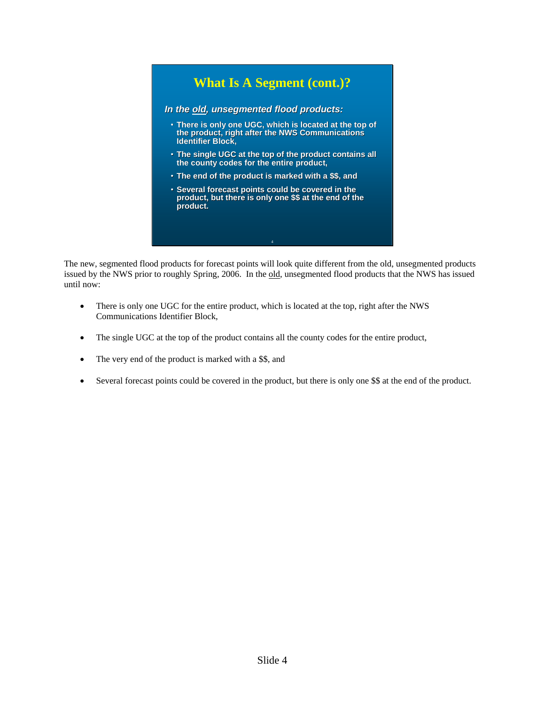

The new, segmented flood products for forecast points will look quite different from the old, unsegmented products issued by the NWS prior to roughly Spring, 2006. In the old, unsegmented flood products that the NWS has issued until now:

- There is only one UGC for the entire product, which is located at the top, right after the NWS Communications Identifier Block,
- The single UGC at the top of the product contains all the county codes for the entire product,
- The very end of the product is marked with a \$\$, and
- Several forecast points could be covered in the product, but there is only one \$\$ at the end of the product.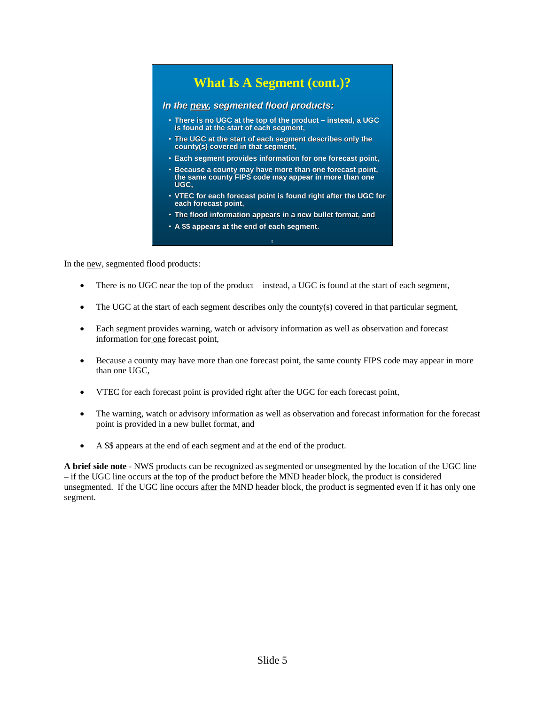# **What Is A Segment (cont.)?**

#### *In the new, segmented flood products: , segmented flood products:*

- There is no UGC at the top of the product instead, a UGC **is found at the start of each segment, is the start of each**
- The UGC at the start of each segment describes only the **county(s) covered in that segment, county(s) covered in that segment,**
- **Each segment provides information for one forecast point,**
- Because a county may have more than one forecast point, the same county FIPS code may appear in more than one **UGC,**
- VTEC for each forecast point is found right after the UGC for **each forecast point, each point,**
- **The flood information appears in a new bullet format, and**

5

• A \$\$ appears at the end of each segment.

In the new, segmented flood products:

- There is no UGC near the top of the product instead, a UGC is found at the start of each segment,
- The UGC at the start of each segment describes only the county(s) covered in that particular segment,
- Each segment provides warning, watch or advisory information as well as observation and forecast information for one forecast point,
- Because a county may have more than one forecast point, the same county FIPS code may appear in more than one UGC,
- VTEC for each forecast point is provided right after the UGC for each forecast point,
- The warning, watch or advisory information as well as observation and forecast information for the forecast point is provided in a new bullet format, and
- A \$\$ appears at the end of each segment and at the end of the product.

**A brief side note** - NWS products can be recognized as segmented or unsegmented by the location of the UGC line – if the UGC line occurs at the top of the product before the MND header block, the product is considered unsegmented. If the UGC line occurs after the MND header block, the product is segmented even if it has only one segment.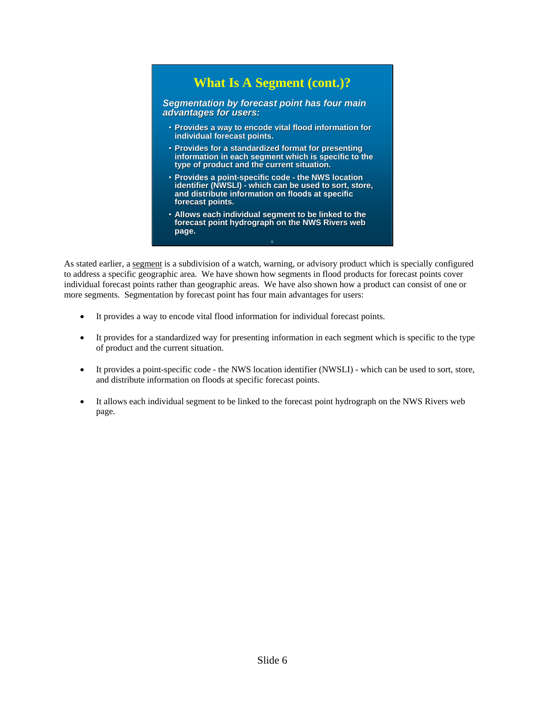# **What Is A Segment (cont.)?**

**Segmentation by forecast point has four main** *advantages for users: advantages for users:*

- **Provides a way to encode vital flood information for Provides a way to encode vital flood information for individual forecast points. individual forecast points.**
- **Provides for a standardized format for presenting** information in each segment which is specific to the **type of product and the current situation. type of product and current**
- **Provides a point Provides a point-specific code specific code - the NWS location location identifier (NWSLI) - which can be used to sort, store, and distribute information on floods at specific and distribute information on floods at specific forecast points. forecast points.**
- Allows each individual segment to be linked to the forecast point hydrograph on the NWS Rivers web **page.**

6

As stated earlier, a segment is a subdivision of a watch, warning, or advisory product which is specially configured to address a specific geographic area. We have shown how segments in flood products for forecast points cover individual forecast points rather than geographic areas. We have also shown how a product can consist of one or more segments. Segmentation by forecast point has four main advantages for users:

- It provides a way to encode vital flood information for individual forecast points.
- It provides for a standardized way for presenting information in each segment which is specific to the type of product and the current situation.
- It provides a point-specific code the NWS location identifier (NWSLI) which can be used to sort, store, and distribute information on floods at specific forecast points.
- It allows each individual segment to be linked to the forecast point hydrograph on the NWS Rivers web page.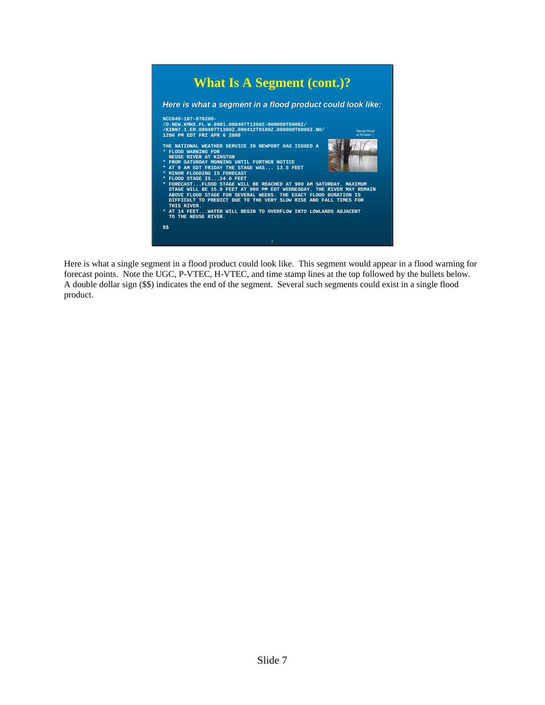

Here is what a single segment in a flood product could look like. This segment would appear in a flood warning for forecast points. Note the UGC, P-VTEC, H-VTEC, and time stamp lines at the top followed by the bullets below. A double dollar sign (\$\$) indicates the end of the segment. Several such segments could exist in a single flood product.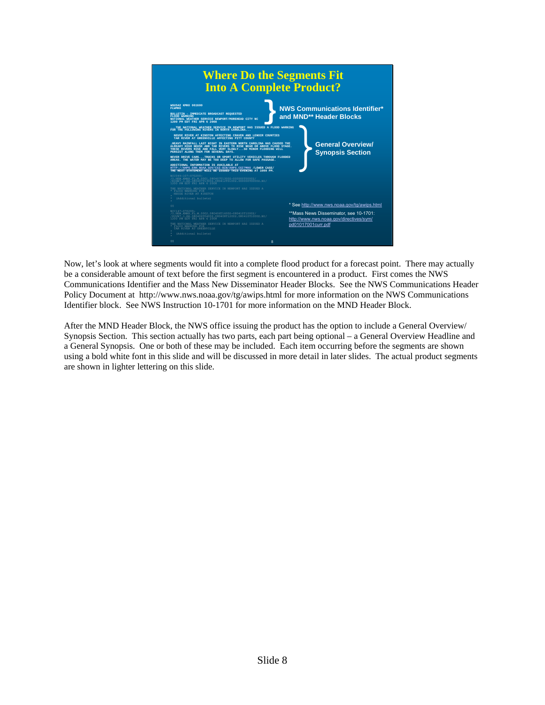

Now, let's look at where segments would fit into a complete flood product for a forecast point. There may actually be a considerable amount of text before the first segment is encountered in a product. First comes the NWS Communications Identifier and the Mass New Disseminator Header Blocks. See the NWS Communications Header Policy Document at http://www.nws.noaa.gov/tg/awips.html for more information on the NWS Communications Identifier block. See NWS Instruction 10-1701 for more information on the MND Header Block.

After the MND Header Block, the NWS office issuing the product has the option to include a General Overview/ Synopsis Section. This section actually has two parts, each part being optional – a General Overview Headline and a General Synopsis. One or both of these may be included. Each item occurring before the segments are shown using a bold white font in this slide and will be discussed in more detail in later slides. The actual product segments are shown in lighter lettering on this slide.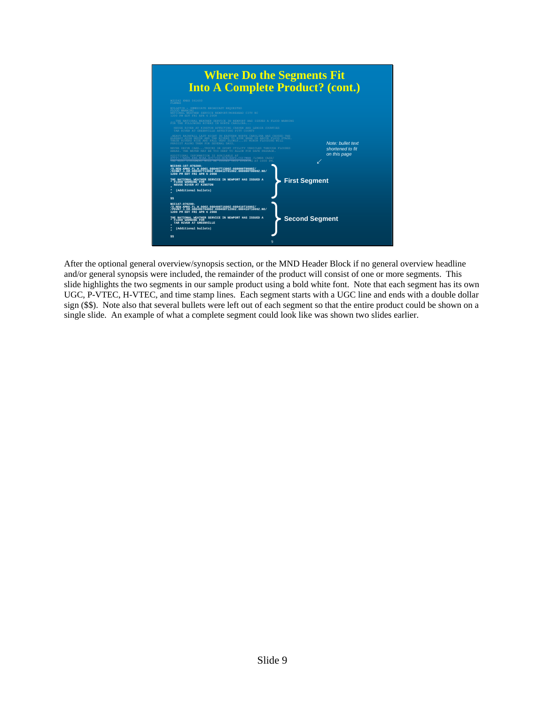

After the optional general overview/synopsis section, or the MND Header Block if no general overview headline and/or general synopsis were included, the remainder of the product will consist of one or more segments. This slide highlights the two segments in our sample product using a bold white font. Note that each segment has its own UGC, P-VTEC, H-VTEC, and time stamp lines. Each segment starts with a UGC line and ends with a double dollar sign (\$\$). Note also that several bullets were left out of each segment so that the entire product could be shown on a single slide. An example of what a complete segment could look like was shown two slides earlier.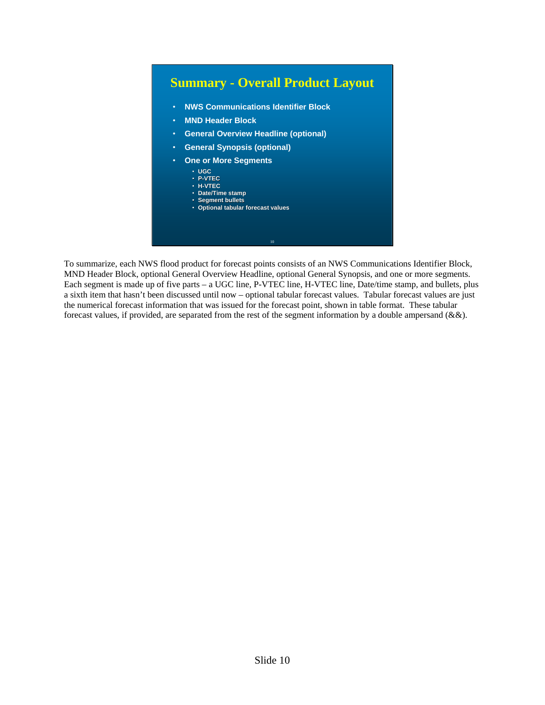

To summarize, each NWS flood product for forecast points consists of an NWS Communications Identifier Block, MND Header Block, optional General Overview Headline, optional General Synopsis, and one or more segments. Each segment is made up of five parts – a UGC line, P-VTEC line, H-VTEC line, Date/time stamp, and bullets, plus a sixth item that hasn't been discussed until now – optional tabular forecast values. Tabular forecast values are just the numerical forecast information that was issued for the forecast point, shown in table format. These tabular forecast values, if provided, are separated from the rest of the segment information by a double ampersand (&&).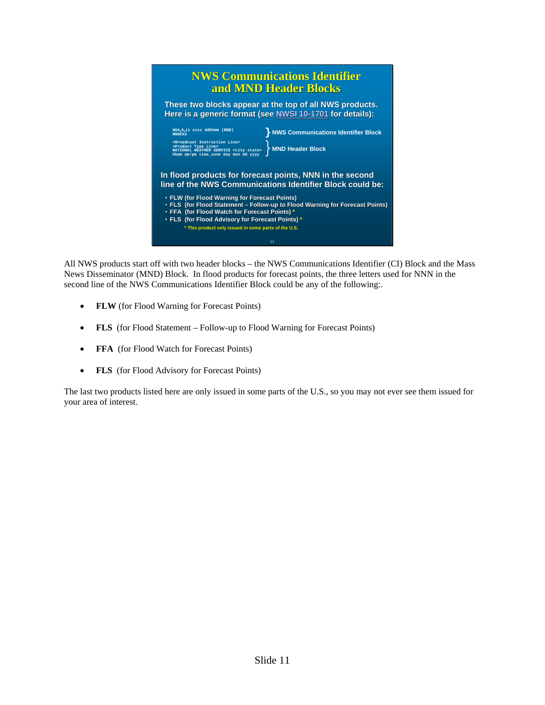

All NWS products start off with two header blocks – the NWS Communications Identifier (CI) Block and the Mass News Disseminator (MND) Block. In flood products for forecast points, the three letters used for NNN in the second line of the NWS Communications Identifier Block could be any of the following:.

- **FLW** (for Flood Warning for Forecast Points)
- **FLS** (for Flood Statement Follow-up to Flood Warning for Forecast Points)
- **FFA** (for Flood Watch for Forecast Points)
- **FLS** (for Flood Advisory for Forecast Points)

The last two products listed here are only issued in some parts of the U.S., so you may not ever see them issued for your area of interest.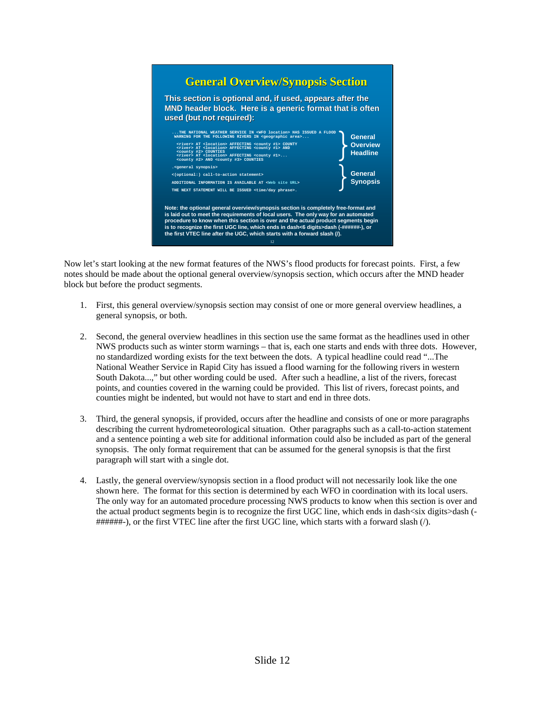

Now let's start looking at the new format features of the NWS's flood products for forecast points. First, a few notes should be made about the optional general overview/synopsis section, which occurs after the MND header block but before the product segments.

- 1. First, this general overview/synopsis section may consist of one or more general overview headlines, a general synopsis, or both.
- 2. Second, the general overview headlines in this section use the same format as the headlines used in other NWS products such as winter storm warnings – that is, each one starts and ends with three dots. However, no standardized wording exists for the text between the dots. A typical headline could read "...The National Weather Service in Rapid City has issued a flood warning for the following rivers in western South Dakota...," but other wording could be used. After such a headline, a list of the rivers, forecast points, and counties covered in the warning could be provided. This list of rivers, forecast points, and counties might be indented, but would not have to start and end in three dots.
- 3. Third, the general synopsis, if provided, occurs after the headline and consists of one or more paragraphs describing the current hydrometeorological situation. Other paragraphs such as a call-to-action statement and a sentence pointing a web site for additional information could also be included as part of the general synopsis. The only format requirement that can be assumed for the general synopsis is that the first paragraph will start with a single dot.
- 4. Lastly, the general overview/synopsis section in a flood product will not necessarily look like the one shown here. The format for this section is determined by each WFO in coordination with its local users. The only way for an automated procedure processing NWS products to know when this section is over and the actual product segments begin is to recognize the first UGC line, which ends in dash<six digits>dash (- ######-), or the first VTEC line after the first UGC line, which starts with a forward slash (/).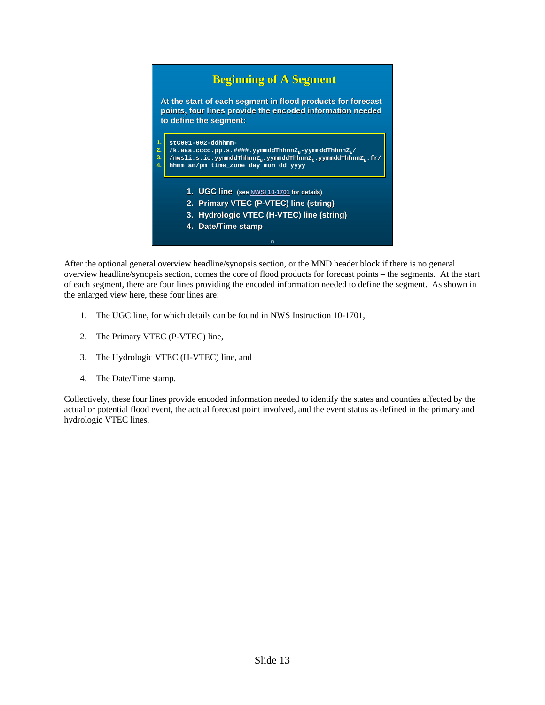#### 13 **Beginning of A Segment Beginning of A Segment stC001-002-ddhhmm-**  $\texttt{stCO01--002--ddhhmme-} \$ <br>/k.aaa.cccc.pp.s.####.yymmddThhnnZ<sub>B</sub>-yymmddThhnnZ<sub>E</sub>/ **/nwsli.s.ic.yymmddThhnnZB.yymmddThhnnZC.yymmddThhnnZE.fr/ /nwsli.s.ic.yymmddThhnnZ /nwsli.s.ic.yymmddThhnnZB.yymmddThhnnZ .yymmddThhnnZC.yymmddThhnnZ .yymmddThhnnZE.fr/ hhmm am/pm time\_zone day mon dd yyyy hhmm am/pm time\_zone day mon dd yyyy** 1. **UGC line** (see NWSI 10-1701 for details) **2. Primary VTEC (P-VTEC) line (string) 3. Hydrologic VTEC (H-VTEC) line (string) 4. Date/Time stamp 1. 2. 3. 4.** At the start of each segment in flood products for forecast **points, four lines provide the encoded information needed points, four lines provide the encoded information needed to define the segment: segment:**

After the optional general overview headline/synopsis section, or the MND header block if there is no general overview headline/synopsis section, comes the core of flood products for forecast points – the segments. At the start of each segment, there are four lines providing the encoded information needed to define the segment. As shown in the enlarged view here, these four lines are:

- 1. The UGC line, for which details can be found in NWS Instruction 10-1701,
- 2. The Primary VTEC (P-VTEC) line,
- 3. The Hydrologic VTEC (H-VTEC) line, and
- 4. The Date/Time stamp.

Collectively, these four lines provide encoded information needed to identify the states and counties affected by the actual or potential flood event, the actual forecast point involved, and the event status as defined in the primary and hydrologic VTEC lines.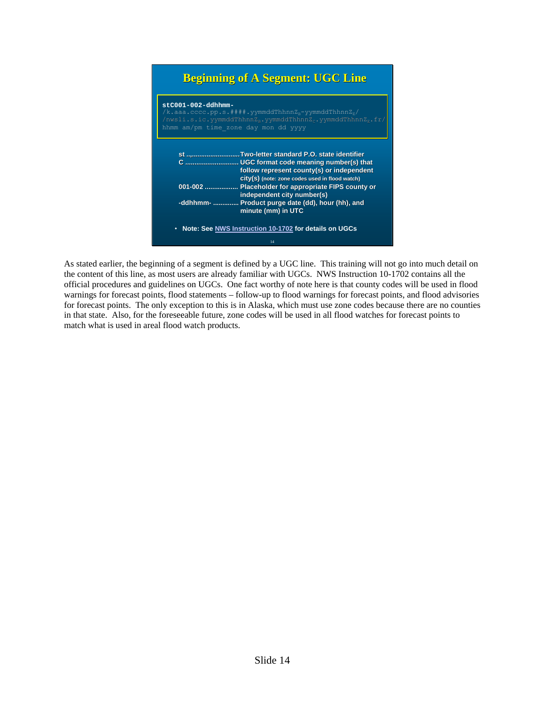# **Beginning of A Segment: UGC Line**



As stated earlier, the beginning of a segment is defined by a UGC line. This training will not go into much detail on the content of this line, as most users are already familiar with UGCs. NWS Instruction 10-1702 contains all the official procedures and guidelines on UGCs. One fact worthy of note here is that county codes will be used in flood warnings for forecast points, flood statements – follow-up to flood warnings for forecast points, and flood advisories for forecast points. The only exception to this is in Alaska, which must use zone codes because there are no counties in that state. Also, for the foreseeable future, zone codes will be used in all flood watches for forecast points to match what is used in areal flood watch products.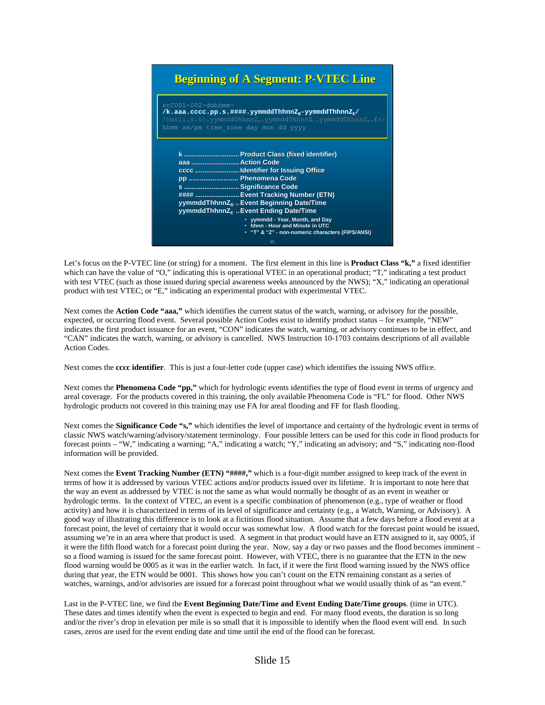## **Beginning of A Segment: P-VTEC Line**

| $stCO01-002-ddhhmm-$<br>/k.aaa.cccc.pp.s.####.yymmddThhnnZ <sub>r</sub> -yymmddThhnnZ <sub>r</sub> /<br>$\texttt{msplit.s.ic.yymmddThhnnZ}_n.\texttt{yymmddThhnnZ}_n.\texttt{yymmddThhnnZ}_n.\texttt{fr}/n$<br>hhmm am/pm time zone day mon dd yyyy                                                                                                                                                                         |
|-----------------------------------------------------------------------------------------------------------------------------------------------------------------------------------------------------------------------------------------------------------------------------------------------------------------------------------------------------------------------------------------------------------------------------|
| k  Product Class (fixed identifier)<br>aaa  Action Code<br>cccc Identifier for Issuing Office<br>pp  Phenomena Code<br>s  Significance Code<br>####  Event Tracking Number (ETN)<br>yymmddThhnnZ <sub>n</sub> Event Beginning Date/Time<br>yymmddThhnnZ <sub>F</sub> Event Ending Date/Time<br>• yymmdd - Year, Month, and Day<br>. hhnn - Hour and Minute in UTC<br>• "T" & "Z" - non-numeric characters (FIPS/ANSI)<br>15 |

Let's focus on the P-VTEC line (or string) for a moment. The first element in this line is **Product Class "k,"** a fixed identifier which can have the value of "O," indicating this is operational VTEC in an operational product; "T," indicating a test product with test VTEC (such as those issued during special awareness weeks announced by the NWS); "X," indicating an operational product with test VTEC; or "E," indicating an experimental product with experimental VTEC.

Next comes the **Action Code "aaa,"** which identifies the current status of the watch, warning, or advisory for the possible, expected, or occurring flood event. Several possible Action Codes exist to identify product status – for example, "NEW" indicates the first product issuance for an event, "CON" indicates the watch, warning, or advisory continues to be in effect, and "CAN" indicates the watch, warning, or advisory is cancelled. NWS Instruction 10-1703 contains descriptions of all available Action Codes.

Next comes the **cccc identifier**. This is just a four-letter code (upper case) which identifies the issuing NWS office.

Next comes the **Phenomena Code "pp,"** which for hydrologic events identifies the type of flood event in terms of urgency and areal coverage. For the products covered in this training, the only available Phenomena Code is "FL" for flood. Other NWS hydrologic products not covered in this training may use FA for areal flooding and FF for flash flooding.

Next comes the **Significance Code "s,"** which identifies the level of importance and certainty of the hydrologic event in terms of classic NWS watch/warning/advisory/statement terminology. Four possible letters can be used for this code in flood products for forecast points – "W," indicating a warning; "A," indicating a watch; "Y," indicating an advisory; and "S," indicating non-flood information will be provided.

Next comes the **Event Tracking Number (ETN)** "####," which is a four-digit number assigned to keep track of the event in terms of how it is addressed by various VTEC actions and/or products issued over its lifetime. It is important to note here that the way an event as addressed by VTEC is not the same as what would normally be thought of as an event in weather or hydrologic terms. In the context of VTEC, an event is a specific combination of phenomenon (e.g., type of weather or flood activity) and how it is characterized in terms of its level of significance and certainty (e.g., a Watch, Warning, or Advisory). A good way of illustrating this difference is to look at a fictitious flood situation. Assume that a few days before a flood event at a forecast point, the level of certainty that it would occur was somewhat low. A flood watch for the forecast point would be issued, assuming we're in an area where that product is used. A segment in that product would have an ETN assigned to it, say 0005, if it were the fifth flood watch for a forecast point during the year. Now, say a day or two passes and the flood becomes imminent – so a flood warning is issued for the same forecast point. However, with VTEC, there is no guarantee that the ETN in the new flood warning would be 0005 as it was in the earlier watch. In fact, if it were the first flood warning issued by the NWS office during that year, the ETN would be 0001. This shows how you can't count on the ETN remaining constant as a series of watches, warnings, and/or advisories are issued for a forecast point throughout what we would usually think of as "an event."

Last in the P-VTEC line, we find the **Event Beginning Date/Time and Event Ending Date/Time groups**. (time in UTC). These dates and times identify when the event is expected to begin and end. For many flood events, the duration is so long and/or the river's drop in elevation per mile is so small that it is impossible to identify when the flood event will end. In such cases, zeros are used for the event ending date and time until the end of the flood can be forecast.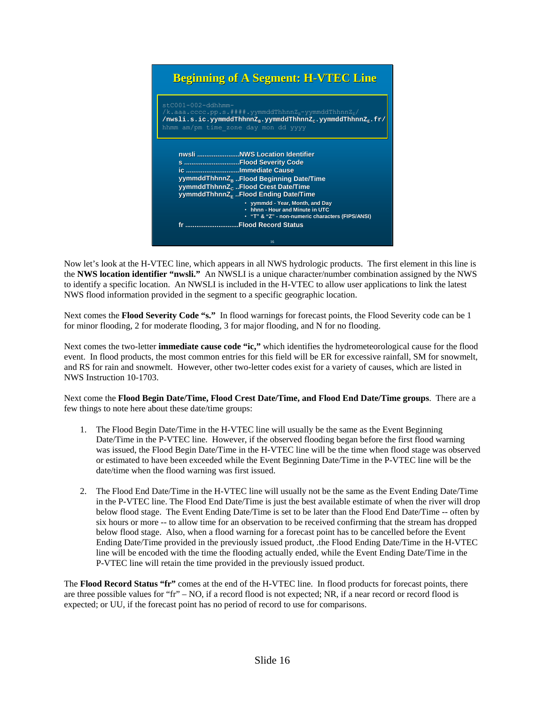# **Beginning of A Segment: H-VTEC Line**

| $stCO01-002-ddhhmm-$<br>/k.aaa.cccc.pp.s.####.yymmddThhnnZ <sub>n</sub> -yymmddThhnnZ <sub>r</sub> /<br>/nwsli.s.ic.yymmddThhnnZ <sub>p</sub> .yymmddThhnnZ <sub>c</sub> .yymmddThhnnZ <sub>r</sub> .fr/<br>hhmm am/pm time zone day mon dd yyyy |                                                                                                                                                                                                                                                                                                                                                               |  |
|--------------------------------------------------------------------------------------------------------------------------------------------------------------------------------------------------------------------------------------------------|---------------------------------------------------------------------------------------------------------------------------------------------------------------------------------------------------------------------------------------------------------------------------------------------------------------------------------------------------------------|--|
|                                                                                                                                                                                                                                                  | s Flood Severity Code<br>ic Immediate Cause<br>yymmddThhnnZ <sub>B</sub> Flood Beginning Date/Time<br>yymmddThhnnZ <sub>c</sub> Flood Crest Date/Time<br>yymmddThhnnZ <sub>F</sub> Flood Ending Date/Time<br>• yymmdd - Year, Month, and Day<br>• hhnn - Hour and Minute in UTC<br>• "T" & "Z" - non-numeric characters (FIPS/ANSI)<br>fr Flood Record Status |  |
|                                                                                                                                                                                                                                                  | 16                                                                                                                                                                                                                                                                                                                                                            |  |

Now let's look at the H-VTEC line, which appears in all NWS hydrologic products. The first element in this line is the **NWS location identifier "nwsli."** An NWSLI is a unique character/number combination assigned by the NWS to identify a specific location. An NWSLI is included in the H-VTEC to allow user applications to link the latest NWS flood information provided in the segment to a specific geographic location.

Next comes the **Flood Severity Code "s."** In flood warnings for forecast points, the Flood Severity code can be 1 for minor flooding, 2 for moderate flooding, 3 for major flooding, and N for no flooding.

Next comes the two-letter **immediate cause code "ic,"** which identifies the hydrometeorological cause for the flood event. In flood products, the most common entries for this field will be ER for excessive rainfall, SM for snowmelt, and RS for rain and snowmelt. However, other two-letter codes exist for a variety of causes, which are listed in NWS Instruction 10-1703.

Next come the **Flood Begin Date/Time, Flood Crest Date/Time, and Flood End Date/Time groups**. There are a few things to note here about these date/time groups:

- 1. The Flood Begin Date/Time in the H-VTEC line will usually be the same as the Event Beginning Date/Time in the P-VTEC line. However, if the observed flooding began before the first flood warning was issued, the Flood Begin Date/Time in the H-VTEC line will be the time when flood stage was observed or estimated to have been exceeded while the Event Beginning Date/Time in the P-VTEC line will be the date/time when the flood warning was first issued.
- 2. The Flood End Date/Time in the H-VTEC line will usually not be the same as the Event Ending Date/Time in the P-VTEC line. The Flood End Date/Time is just the best available estimate of when the river will drop below flood stage. The Event Ending Date/Time is set to be later than the Flood End Date/Time -- often by six hours or more -- to allow time for an observation to be received confirming that the stream has dropped below flood stage. Also, when a flood warning for a forecast point has to be cancelled before the Event Ending Date/Time provided in the previously issued product, .the Flood Ending Date/Time in the H-VTEC line will be encoded with the time the flooding actually ended, while the Event Ending Date/Time in the P-VTEC line will retain the time provided in the previously issued product.

The **Flood Record Status "fr"** comes at the end of the H-VTEC line. In flood products for forecast points, there are three possible values for "fr" – NO, if a record flood is not expected; NR, if a near record or record flood is expected; or UU, if the forecast point has no period of record to use for comparisons.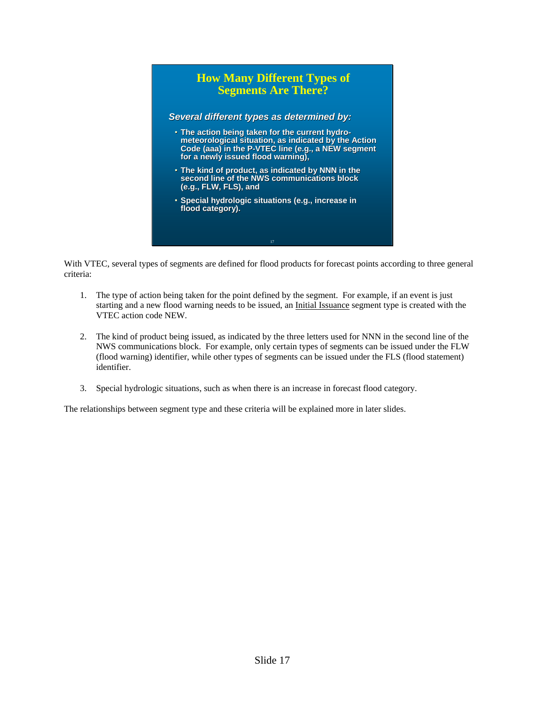

With VTEC, several types of segments are defined for flood products for forecast points according to three general criteria:

- 1. The type of action being taken for the point defined by the segment. For example, if an event is just starting and a new flood warning needs to be issued, an Initial Issuance segment type is created with the VTEC action code NEW.
- 2. The kind of product being issued, as indicated by the three letters used for NNN in the second line of the NWS communications block. For example, only certain types of segments can be issued under the FLW (flood warning) identifier, while other types of segments can be issued under the FLS (flood statement) identifier.
- 3. Special hydrologic situations, such as when there is an increase in forecast flood category.

The relationships between segment type and these criteria will be explained more in later slides.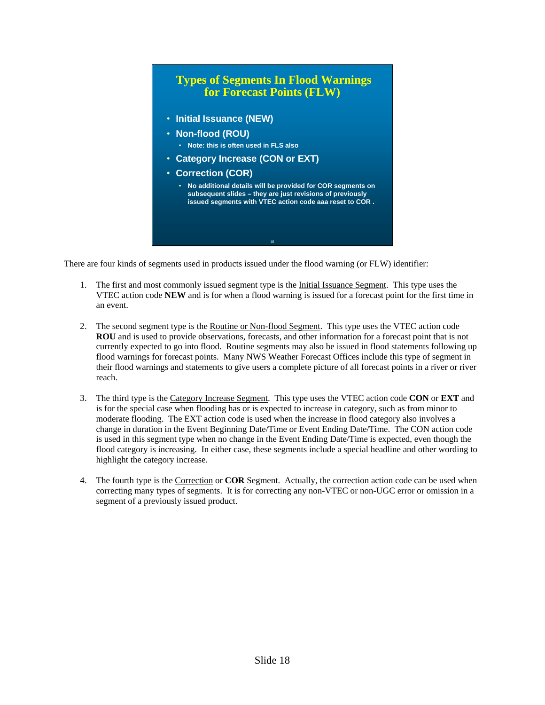

There are four kinds of segments used in products issued under the flood warning (or FLW) identifier:

- 1. The first and most commonly issued segment type is the Initial Issuance Segment. This type uses the VTEC action code **NEW** and is for when a flood warning is issued for a forecast point for the first time in an event.
- 2. The second segment type is the Routine or Non-flood Segment. This type uses the VTEC action code **ROU** and is used to provide observations, forecasts, and other information for a forecast point that is not currently expected to go into flood. Routine segments may also be issued in flood statements following up flood warnings for forecast points. Many NWS Weather Forecast Offices include this type of segment in their flood warnings and statements to give users a complete picture of all forecast points in a river or river reach.
- 3. The third type is the Category Increase Segment. This type uses the VTEC action code **CON** or **EXT** and is for the special case when flooding has or is expected to increase in category, such as from minor to moderate flooding. The EXT action code is used when the increase in flood category also involves a change in duration in the Event Beginning Date/Time or Event Ending Date/Time. The CON action code is used in this segment type when no change in the Event Ending Date/Time is expected, even though the flood category is increasing. In either case, these segments include a special headline and other wording to highlight the category increase.
- 4. The fourth type is the Correction or **COR** Segment. Actually, the correction action code can be used when correcting many types of segments. It is for correcting any non-VTEC or non-UGC error or omission in a segment of a previously issued product.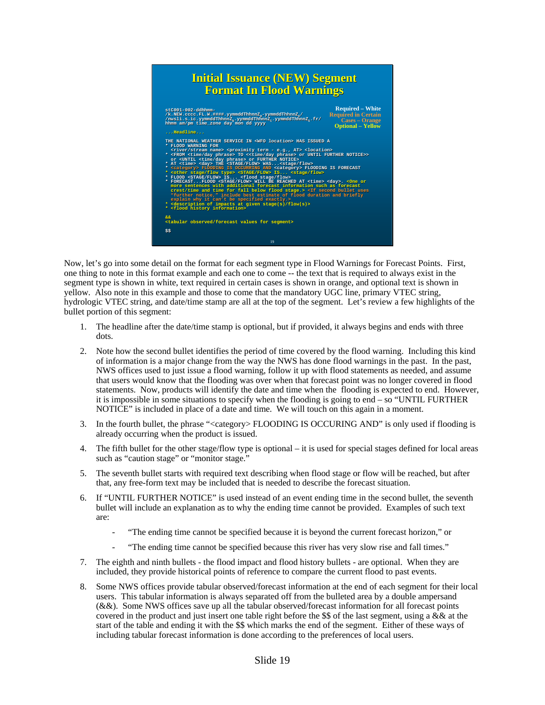## **Initial Issuance (NEW) Segment Initial Issuance (NEW) Segment Format In Flood Warnings Format Flood Warnings**



Now, let's go into some detail on the format for each segment type in Flood Warnings for Forecast Points. First, one thing to note in this format example and each one to come -- the text that is required to always exist in the segment type is shown in white, text required in certain cases is shown in orange, and optional text is shown in yellow. Also note in this example and those to come that the mandatory UGC line, primary VTEC string, hydrologic VTEC string, and date/time stamp are all at the top of the segment. Let's review a few highlights of the bullet portion of this segment:

- 1. The headline after the date/time stamp is optional, but if provided, it always begins and ends with three dots.
- 2. Note how the second bullet identifies the period of time covered by the flood warning. Including this kind of information is a major change from the way the NWS has done flood warnings in the past. In the past, NWS offices used to just issue a flood warning, follow it up with flood statements as needed, and assume that users would know that the flooding was over when that forecast point was no longer covered in flood statements. Now, products will identify the date and time when the flooding is expected to end. However, it is impossible in some situations to specify when the flooding is going to end – so "UNTIL FURTHER NOTICE" is included in place of a date and time. We will touch on this again in a moment.
- 3. In the fourth bullet, the phrase "<category> FLOODING IS OCCURING AND" is only used if flooding is already occurring when the product is issued.
- 4. The fifth bullet for the other stage/flow type is optional it is used for special stages defined for local areas such as "caution stage" or "monitor stage."
- 5. The seventh bullet starts with required text describing when flood stage or flow will be reached, but after that, any free-form text may be included that is needed to describe the forecast situation.
- 6. If "UNTIL FURTHER NOTICE" is used instead of an event ending time in the second bullet, the seventh bullet will include an explanation as to why the ending time cannot be provided. Examples of such text are:
	- "The ending time cannot be specified because it is beyond the current forecast horizon," or
	- "The ending time cannot be specified because this river has very slow rise and fall times."
- 7. The eighth and ninth bullets the flood impact and flood history bullets are optional. When they are included, they provide historical points of reference to compare the current flood to past events.
- 8. Some NWS offices provide tabular observed/forecast information at the end of each segment for their local users. This tabular information is always separated off from the bulleted area by a double ampersand (&&). Some NWS offices save up all the tabular observed/forecast information for all forecast points covered in the product and just insert one table right before the \$\$ of the last segment, using a  $&&$  at the start of the table and ending it with the \$\$ which marks the end of the segment. Either of these ways of including tabular forecast information is done according to the preferences of local users.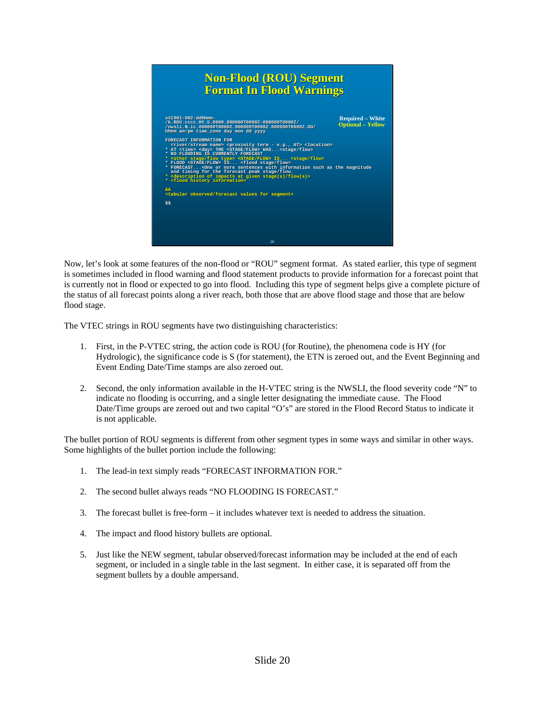

Now, let's look at some features of the non-flood or "ROU" segment format. As stated earlier, this type of segment is sometimes included in flood warning and flood statement products to provide information for a forecast point that is currently not in flood or expected to go into flood. Including this type of segment helps give a complete picture of the status of all forecast points along a river reach, both those that are above flood stage and those that are below flood stage.

The VTEC strings in ROU segments have two distinguishing characteristics:

- 1. First, in the P-VTEC string, the action code is ROU (for Routine), the phenomena code is HY (for Hydrologic), the significance code is S (for statement), the ETN is zeroed out, and the Event Beginning and Event Ending Date/Time stamps are also zeroed out.
- 2. Second, the only information available in the H-VTEC string is the NWSLI, the flood severity code "N" to indicate no flooding is occurring, and a single letter designating the immediate cause. The Flood Date/Time groups are zeroed out and two capital "O's" are stored in the Flood Record Status to indicate it is not applicable.

The bullet portion of ROU segments is different from other segment types in some ways and similar in other ways. Some highlights of the bullet portion include the following:

- 1. The lead-in text simply reads "FORECAST INFORMATION FOR."
- 2. The second bullet always reads "NO FLOODING IS FORECAST."
- 3. The forecast bullet is free-form it includes whatever text is needed to address the situation.
- 4. The impact and flood history bullets are optional.
- 5. Just like the NEW segment, tabular observed/forecast information may be included at the end of each segment, or included in a single table in the last segment. In either case, it is separated off from the segment bullets by a double ampersand.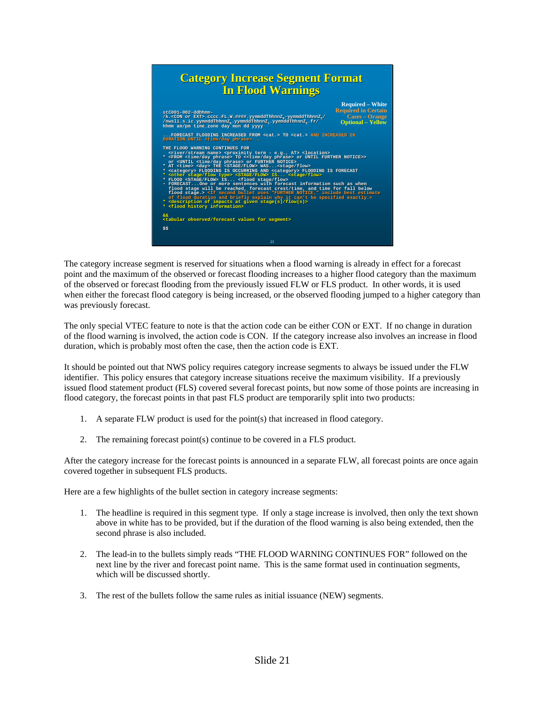

The category increase segment is reserved for situations when a flood warning is already in effect for a forecast point and the maximum of the observed or forecast flooding increases to a higher flood category than the maximum of the observed or forecast flooding from the previously issued FLW or FLS product. In other words, it is used when either the forecast flood category is being increased, or the observed flooding jumped to a higher category than was previously forecast.

The only special VTEC feature to note is that the action code can be either CON or EXT. If no change in duration of the flood warning is involved, the action code is CON. If the category increase also involves an increase in flood duration, which is probably most often the case, then the action code is EXT.

It should be pointed out that NWS policy requires category increase segments to always be issued under the FLW identifier. This policy ensures that category increase situations receive the maximum visibility. If a previously issued flood statement product (FLS) covered several forecast points, but now some of those points are increasing in flood category, the forecast points in that past FLS product are temporarily split into two products:

- 1. A separate FLW product is used for the point(s) that increased in flood category.
- 2. The remaining forecast point(s) continue to be covered in a FLS product.

After the category increase for the forecast points is announced in a separate FLW, all forecast points are once again covered together in subsequent FLS products.

Here are a few highlights of the bullet section in category increase segments:

- 1. The headline is required in this segment type. If only a stage increase is involved, then only the text shown above in white has to be provided, but if the duration of the flood warning is also being extended, then the second phrase is also included.
- 2. The lead-in to the bullets simply reads "THE FLOOD WARNING CONTINUES FOR" followed on the next line by the river and forecast point name. This is the same format used in continuation segments, which will be discussed shortly.
- 3. The rest of the bullets follow the same rules as initial issuance (NEW) segments.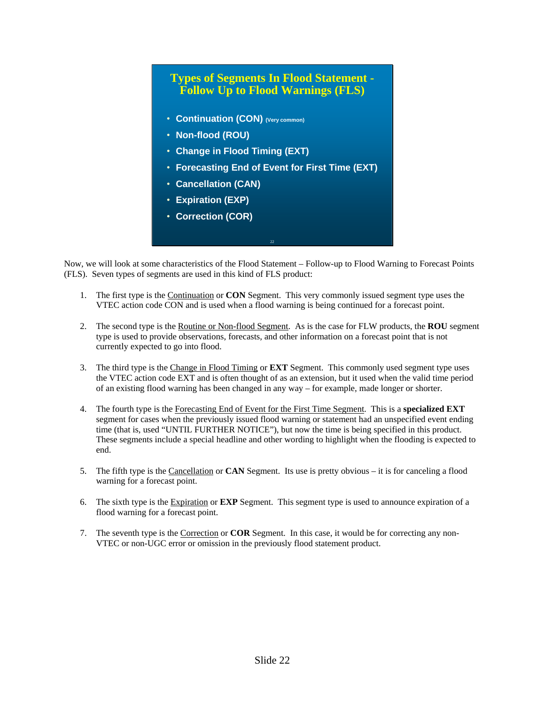

Now, we will look at some characteristics of the Flood Statement – Follow-up to Flood Warning to Forecast Points (FLS). Seven types of segments are used in this kind of FLS product:

- 1. The first type is the Continuation or **CON** Segment. This very commonly issued segment type uses the VTEC action code CON and is used when a flood warning is being continued for a forecast point.
- 2. The second type is the Routine or Non-flood Segment. As is the case for FLW products, the **ROU** segment type is used to provide observations, forecasts, and other information on a forecast point that is not currently expected to go into flood.
- 3. The third type is the Change in Flood Timing or **EXT** Segment. This commonly used segment type uses the VTEC action code EXT and is often thought of as an extension, but it used when the valid time period of an existing flood warning has been changed in any way – for example, made longer or shorter.
- 4. The fourth type is the Forecasting End of Event for the First Time Segment. This is a **specialized EXT** segment for cases when the previously issued flood warning or statement had an unspecified event ending time (that is, used "UNTIL FURTHER NOTICE"), but now the time is being specified in this product. These segments include a special headline and other wording to highlight when the flooding is expected to end.
- 5. The fifth type is the Cancellation or **CAN** Segment. Its use is pretty obvious it is for canceling a flood warning for a forecast point.
- 6. The sixth type is the Expiration or **EXP** Segment. This segment type is used to announce expiration of a flood warning for a forecast point.
- 7. The seventh type is the Correction or **COR** Segment. In this case, it would be for correcting any non-VTEC or non-UGC error or omission in the previously flood statement product.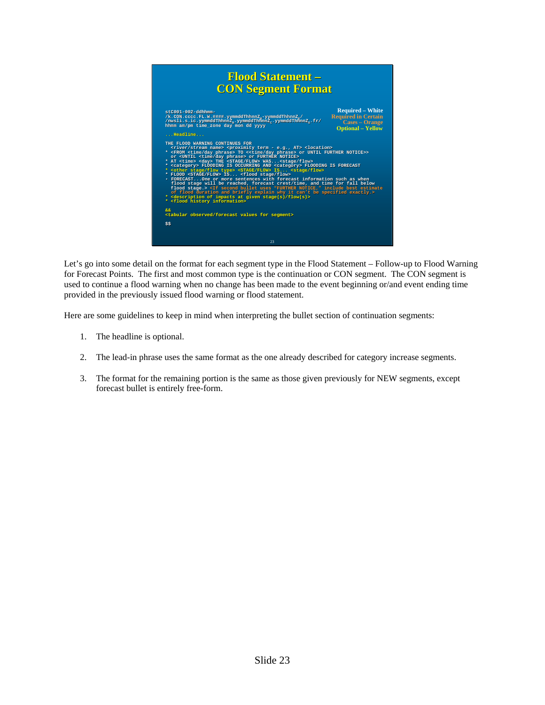

Let's go into some detail on the format for each segment type in the Flood Statement – Follow-up to Flood Warning for Forecast Points. The first and most common type is the continuation or CON segment. The CON segment is used to continue a flood warning when no change has been made to the event beginning or/and event ending time provided in the previously issued flood warning or flood statement.

Here are some guidelines to keep in mind when interpreting the bullet section of continuation segments:

- 1. The headline is optional.
- 2. The lead-in phrase uses the same format as the one already described for category increase segments.
- 3. The format for the remaining portion is the same as those given previously for NEW segments, except forecast bullet is entirely free-form.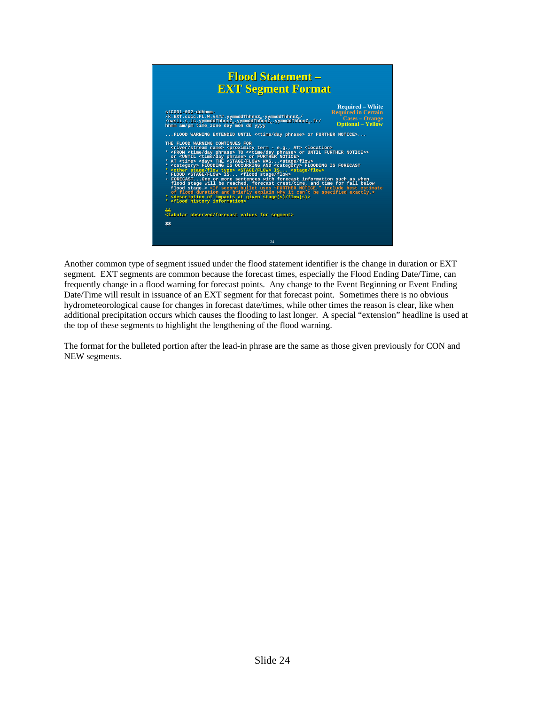

Another common type of segment issued under the flood statement identifier is the change in duration or EXT segment. EXT segments are common because the forecast times, especially the Flood Ending Date/Time, can frequently change in a flood warning for forecast points. Any change to the Event Beginning or Event Ending Date/Time will result in issuance of an EXT segment for that forecast point. Sometimes there is no obvious hydrometeorological cause for changes in forecast date/times, while other times the reason is clear, like when additional precipitation occurs which causes the flooding to last longer. A special "extension" headline is used at the top of these segments to highlight the lengthening of the flood warning.

The format for the bulleted portion after the lead-in phrase are the same as those given previously for CON and NEW segments.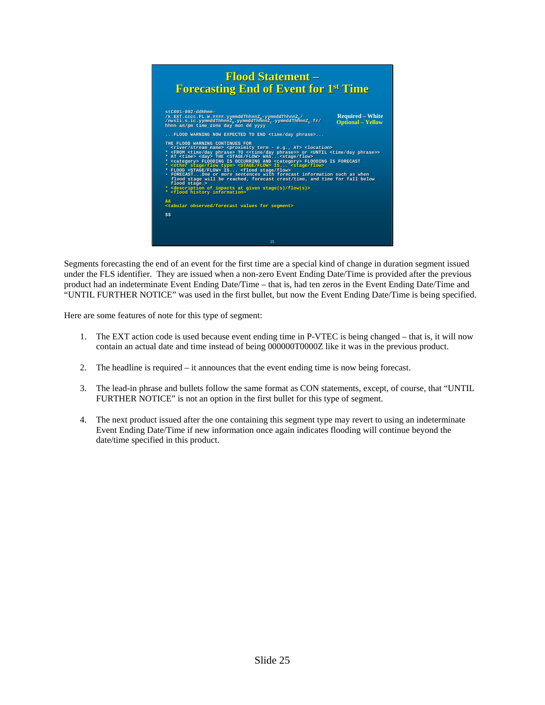

Segments forecasting the end of an event for the first time are a special kind of change in duration segment issued under the FLS identifier. They are issued when a non-zero Event Ending Date/Time is provided after the previous product had an indeterminate Event Ending Date/Time – that is, had ten zeros in the Event Ending Date/Time and "UNTIL FURTHER NOTICE" was used in the first bullet, but now the Event Ending Date/Time is being specified.

Here are some features of note for this type of segment:

- 1. The EXT action code is used because event ending time in P-VTEC is being changed that is, it will now contain an actual date and time instead of being 000000T0000Z like it was in the previous product.
- 2. The headline is required it announces that the event ending time is now being forecast.
- 3. The lead-in phrase and bullets follow the same format as CON statements, except, of course, that "UNTIL FURTHER NOTICE" is not an option in the first bullet for this type of segment.
- 4. The next product issued after the one containing this segment type may revert to using an indeterminate Event Ending Date/Time if new information once again indicates flooding will continue beyond the date/time specified in this product.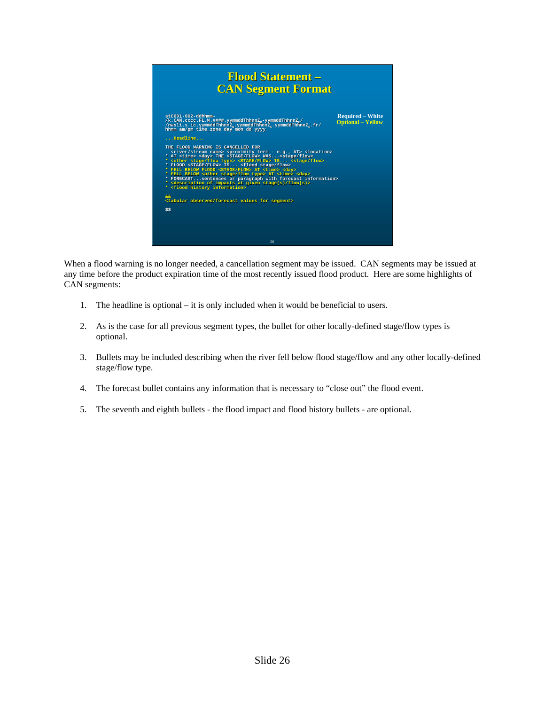

When a flood warning is no longer needed, a cancellation segment may be issued. CAN segments may be issued at any time before the product expiration time of the most recently issued flood product. Here are some highlights of CAN segments:

- 1. The headline is optional it is only included when it would be beneficial to users.
- 2. As is the case for all previous segment types, the bullet for other locally-defined stage/flow types is optional.
- 3. Bullets may be included describing when the river fell below flood stage/flow and any other locally-defined stage/flow type.
- 4. The forecast bullet contains any information that is necessary to "close out" the flood event.
- 5. The seventh and eighth bullets the flood impact and flood history bullets are optional.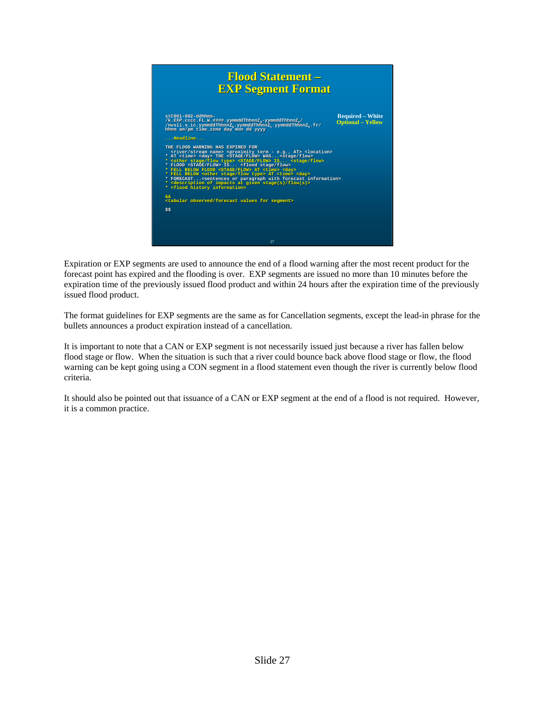

Expiration or EXP segments are used to announce the end of a flood warning after the most recent product for the forecast point has expired and the flooding is over. EXP segments are issued no more than 10 minutes before the expiration time of the previously issued flood product and within 24 hours after the expiration time of the previously issued flood product.

The format guidelines for EXP segments are the same as for Cancellation segments, except the lead-in phrase for the bullets announces a product expiration instead of a cancellation.

It is important to note that a CAN or EXP segment is not necessarily issued just because a river has fallen below flood stage or flow. When the situation is such that a river could bounce back above flood stage or flow, the flood warning can be kept going using a CON segment in a flood statement even though the river is currently below flood criteria.

It should also be pointed out that issuance of a CAN or EXP segment at the end of a flood is not required. However, it is a common practice.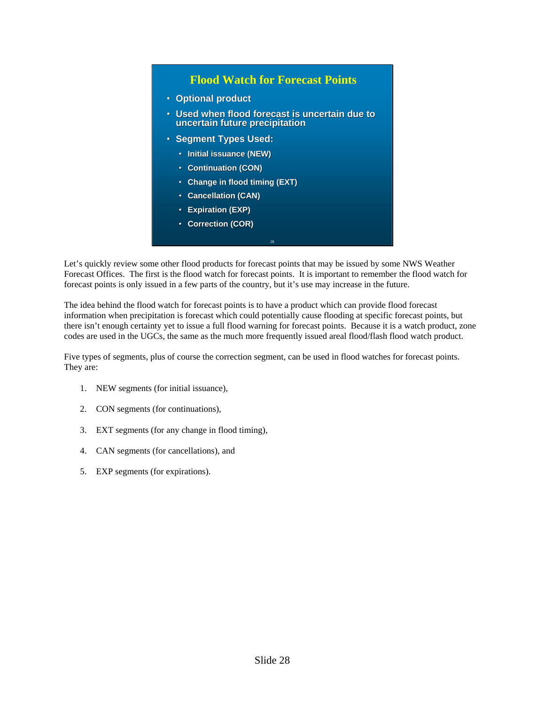#### **Flood Watch for Forecast Points**

- **Optional product**
- Used when flood forecast is uncertain due to **uncertain future precipitation**
- **Segment Types Used: Segment Types Used:**
	- **Initial issuance (NEW)**
	- **Continuation (CON)**
	- **Change in flood timing (EXT) Change in flood timing (EXT)**
	- **Cancellation (CAN) (CAN)**
	- **Expiration (EXP) Expiration (EXP)**
	- **Correction (COR) Correction (COR)**

Let's quickly review some other flood products for forecast points that may be issued by some NWS Weather Forecast Offices. The first is the flood watch for forecast points. It is important to remember the flood watch for forecast points is only issued in a few parts of the country, but it's use may increase in the future.

28

The idea behind the flood watch for forecast points is to have a product which can provide flood forecast information when precipitation is forecast which could potentially cause flooding at specific forecast points, but there isn't enough certainty yet to issue a full flood warning for forecast points. Because it is a watch product, zone codes are used in the UGCs, the same as the much more frequently issued areal flood/flash flood watch product.

Five types of segments, plus of course the correction segment, can be used in flood watches for forecast points. They are:

- 1. NEW segments (for initial issuance),
- 2. CON segments (for continuations),
- 3. EXT segments (for any change in flood timing),
- 4. CAN segments (for cancellations), and
- 5. EXP segments (for expirations).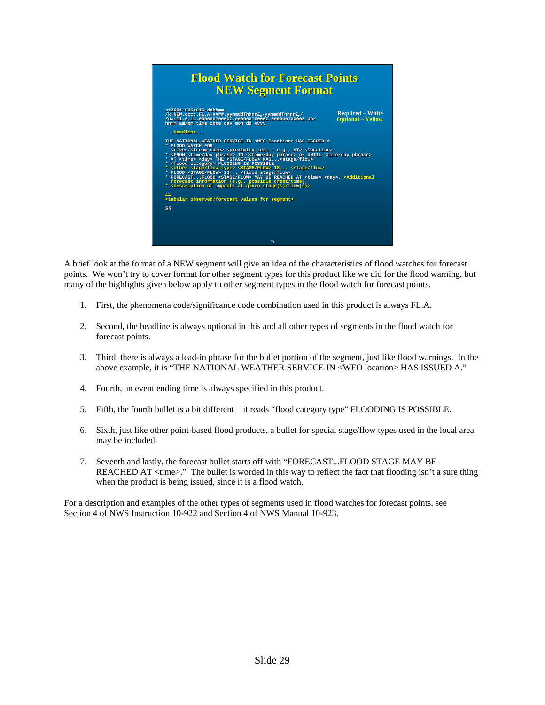## 29 **Flood Watch for Forecast Points Flood Watch for Forecast Points NEW Segment Format NEW** stZ001-005>015-ddhhmm-<br>/k.NEW.cccc.FL.A.####.yymmddThhnnZ<sub>s</sub>-yymmddThhnnZ<sub>s</sub>/<br>/nwsli.0.ic.000000T0000Z.000000T000Z.00000T000T0002.00/<br>hhmm am/pm time\_zone day mon dd yyyy **...Headline...** THE NATIONAL WEATHER SERVICE IN «WFO location» HAS ISSUED A<br>\* FLOOD WATCH FOR<br>\* crive/stream name» <proximity term - e.g., AT> <location><br>\* <FROM <time/day phrase> TO <<time/day phrase> or UNTIL <time/day phrase><br>\* <FROM < **&& <tabular observed/forecast values for segment> &&observed/forecast values for \$\$** /k.NEW.cccc.FL.A.####.yymmddThhnnZ<sub>s</sub>-yymmddThhnnZ<sub>s</sub>/<br>/nws11.0.ic.000000T0000Z.00000T000Z.00000T0000Z.00<br>hhmm am/pm time\_zone day mon dd yyyy THE NATIONAL WEATHER SERVICE IN <WFO location> HAS ISSUED A<br>\* FLOOD WATCH FOR<br>\* <river/stream name> <proximity term - e.g., AT> <location><br>\* <river/stime/day phrase> TO <<time/day phrase> or UNTIL <time/day<br>\* AT <time> <da category> FLOODING IS POSSIBLE<br>stage/flow type> <STAGE/FLOW> IS... <stage/flow><br>STAGE/FLOW> IS... <flood stage/flow> FORECAST...FLOOD <STAGE/FLOW> MAY BE REACHED AT <time> <day>. <Additional<br>forecast information (e.g., possible crest/time).<br><description of impacts at given stage(s)/flow(s)> **Required – White Optional – Yellow**

A brief look at the format of a NEW segment will give an idea of the characteristics of flood watches for forecast points. We won't try to cover format for other segment types for this product like we did for the flood warning, but many of the highlights given below apply to other segment types in the flood watch for forecast points.

- 1. First, the phenomena code/significance code combination used in this product is always FL.A.
- 2. Second, the headline is always optional in this and all other types of segments in the flood watch for forecast points.
- 3. Third, there is always a lead-in phrase for the bullet portion of the segment, just like flood warnings. In the above example, it is "THE NATIONAL WEATHER SERVICE IN <WFO location> HAS ISSUED A."
- 4. Fourth, an event ending time is always specified in this product.
- 5. Fifth, the fourth bullet is a bit different it reads "flood category type" FLOODING IS POSSIBLE.
- 6. Sixth, just like other point-based flood products, a bullet for special stage/flow types used in the local area may be included.
- 7. Seventh and lastly, the forecast bullet starts off with "FORECAST...FLOOD STAGE MAY BE REACHED AT <time>." The bullet is worded in this way to reflect the fact that flooding isn't a sure thing when the product is being issued, since it is a flood watch.

For a description and examples of the other types of segments used in flood watches for forecast points, see Section 4 of NWS Instruction 10-922 and Section 4 of NWS Manual 10-923.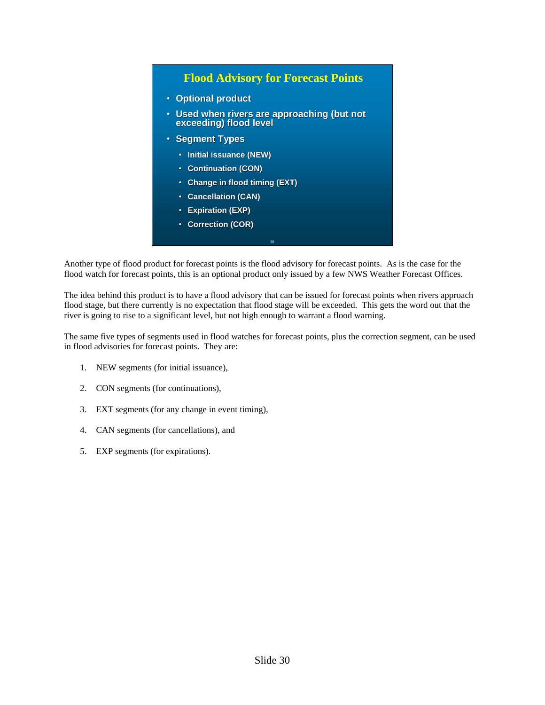### **Flood Advisory for Forecast Points**

- **Optional product**
- Used when rivers are approaching (but not **exceeding) flood level exceeding) flood level**
- **Segment Types**
	- **Initial issuance (NEW)**
	- **Continuation (CON) Continuation (CON)**
	- **Change in flood timing (EXT) flood timing (EXT)**
	- **Cancellation (CAN) (CAN)**
	- **Expiration (EXP) Expiration (EXP)**
	- **Correction (COR)**

Another type of flood product for forecast points is the flood advisory for forecast points. As is the case for the flood watch for forecast points, this is an optional product only issued by a few NWS Weather Forecast Offices.

30

The idea behind this product is to have a flood advisory that can be issued for forecast points when rivers approach flood stage, but there currently is no expectation that flood stage will be exceeded. This gets the word out that the river is going to rise to a significant level, but not high enough to warrant a flood warning.

The same five types of segments used in flood watches for forecast points, plus the correction segment, can be used in flood advisories for forecast points. They are:

- 1. NEW segments (for initial issuance),
- 2. CON segments (for continuations),
- 3. EXT segments (for any change in event timing),
- 4. CAN segments (for cancellations), and
- 5. EXP segments (for expirations).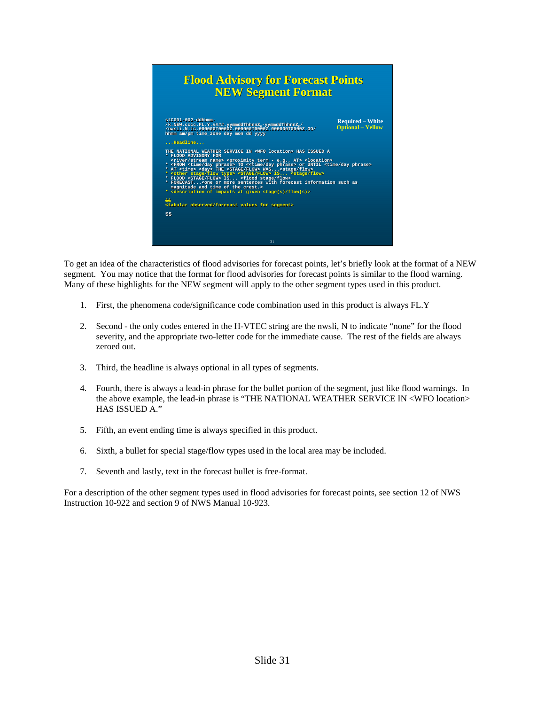

To get an idea of the characteristics of flood advisories for forecast points, let's briefly look at the format of a NEW segment. You may notice that the format for flood advisories for forecast points is similar to the flood warning. Many of these highlights for the NEW segment will apply to the other segment types used in this product.

- 1. First, the phenomena code/significance code combination used in this product is always FL.Y
- 2. Second the only codes entered in the H-VTEC string are the nwsli, N to indicate "none" for the flood severity, and the appropriate two-letter code for the immediate cause. The rest of the fields are always zeroed out.
- 3. Third, the headline is always optional in all types of segments.
- 4. Fourth, there is always a lead-in phrase for the bullet portion of the segment, just like flood warnings. In the above example, the lead-in phrase is "THE NATIONAL WEATHER SERVICE IN <WFO location> HAS ISSUED A."
- 5. Fifth, an event ending time is always specified in this product.
- 6. Sixth, a bullet for special stage/flow types used in the local area may be included.
- 7. Seventh and lastly, text in the forecast bullet is free-format.

For a description of the other segment types used in flood advisories for forecast points, see section 12 of NWS Instruction 10-922 and section 9 of NWS Manual 10-923.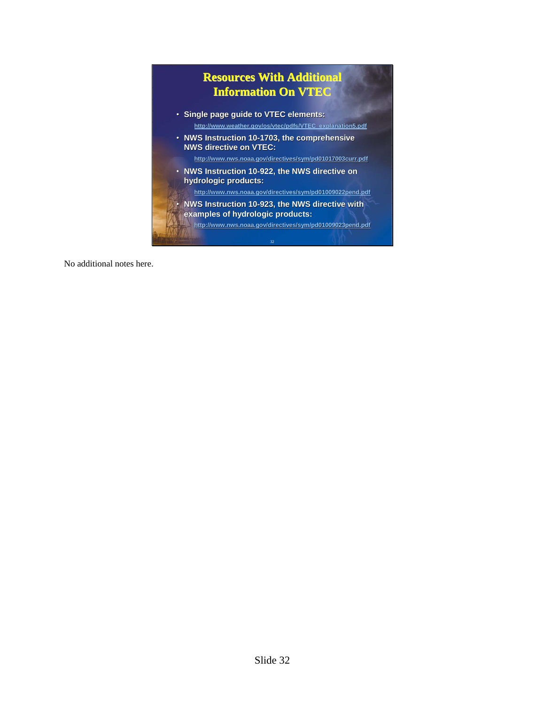

No additional notes here.